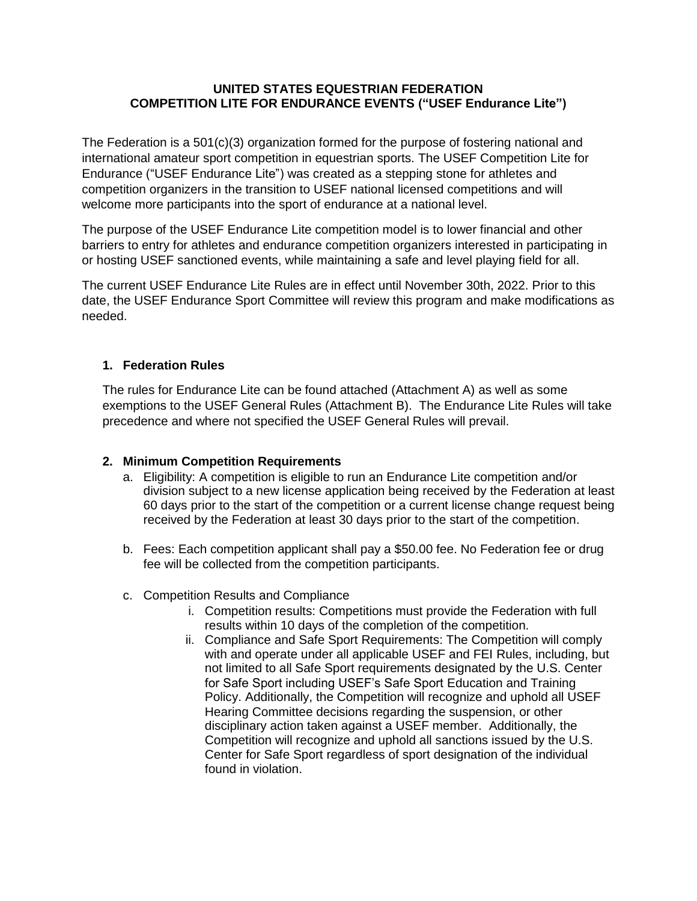#### **UNITED STATES EQUESTRIAN FEDERATION COMPETITION LITE FOR ENDURANCE EVENTS ("USEF Endurance Lite")**

The Federation is a 501(c)(3) organization formed for the purpose of fostering national and international amateur sport competition in equestrian sports. The USEF Competition Lite for Endurance ("USEF Endurance Lite") was created as a stepping stone for athletes and competition organizers in the transition to USEF national licensed competitions and will welcome more participants into the sport of endurance at a national level.

The purpose of the USEF Endurance Lite competition model is to lower financial and other barriers to entry for athletes and endurance competition organizers interested in participating in or hosting USEF sanctioned events, while maintaining a safe and level playing field for all.

The current USEF Endurance Lite Rules are in effect until November 30th, 2022. Prior to this date, the USEF Endurance Sport Committee will review this program and make modifications as needed.

#### **1. Federation Rules**

The rules for Endurance Lite can be found attached (Attachment A) as well as some exemptions to the USEF General Rules (Attachment B). The Endurance Lite Rules will take precedence and where not specified the USEF General Rules will prevail.

#### **2. Minimum Competition Requirements**

- a. Eligibility: A competition is eligible to run an Endurance Lite competition and/or division subject to a new license application being received by the Federation at least 60 days prior to the start of the competition or a current license change request being received by the Federation at least 30 days prior to the start of the competition.
- b. Fees: Each competition applicant shall pay a \$50.00 fee. No Federation fee or drug fee will be collected from the competition participants.
- c. Competition Results and Compliance
	- i. Competition results: Competitions must provide the Federation with full results within 10 days of the completion of the competition.
	- ii. Compliance and Safe Sport Requirements: The Competition will comply with and operate under all applicable USEF and FEI Rules, including, but not limited to all Safe Sport requirements designated by the U.S. Center for Safe Sport including USEF's Safe Sport Education and Training Policy. Additionally, the Competition will recognize and uphold all USEF Hearing Committee decisions regarding the suspension, or other disciplinary action taken against a USEF member. Additionally, the Competition will recognize and uphold all sanctions issued by the U.S. Center for Safe Sport regardless of sport designation of the individual found in violation.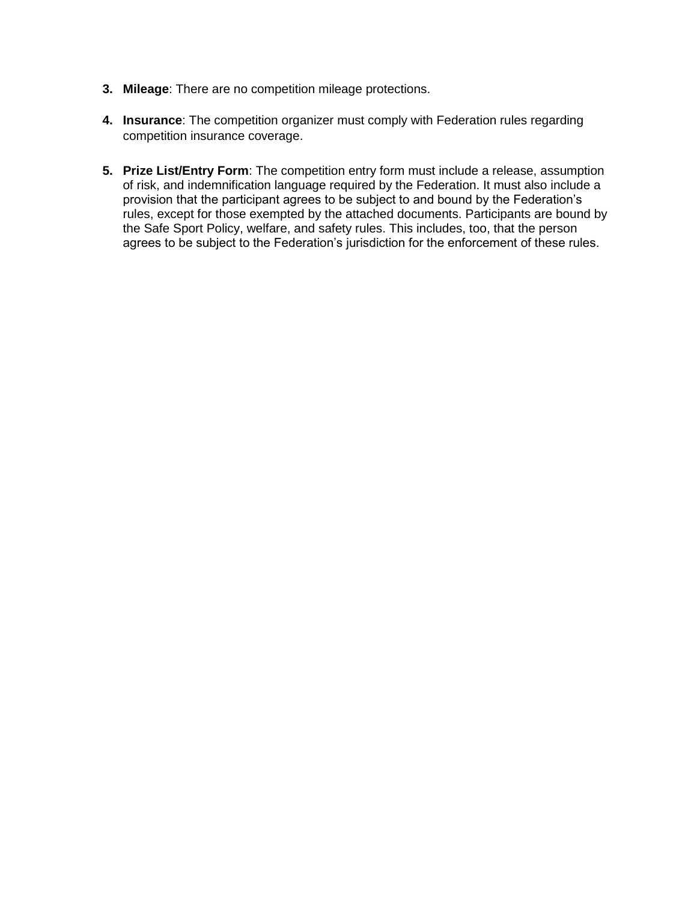- **3. Mileage**: There are no competition mileage protections.
- **4. Insurance**: The competition organizer must comply with Federation rules regarding competition insurance coverage.
- **5. Prize List/Entry Form**: The competition entry form must include a release, assumption of risk, and indemnification language required by the Federation. It must also include a provision that the participant agrees to be subject to and bound by the Federation's rules, except for those exempted by the attached documents. Participants are bound by the Safe Sport Policy, welfare, and safety rules. This includes, too, that the person agrees to be subject to the Federation's jurisdiction for the enforcement of these rules.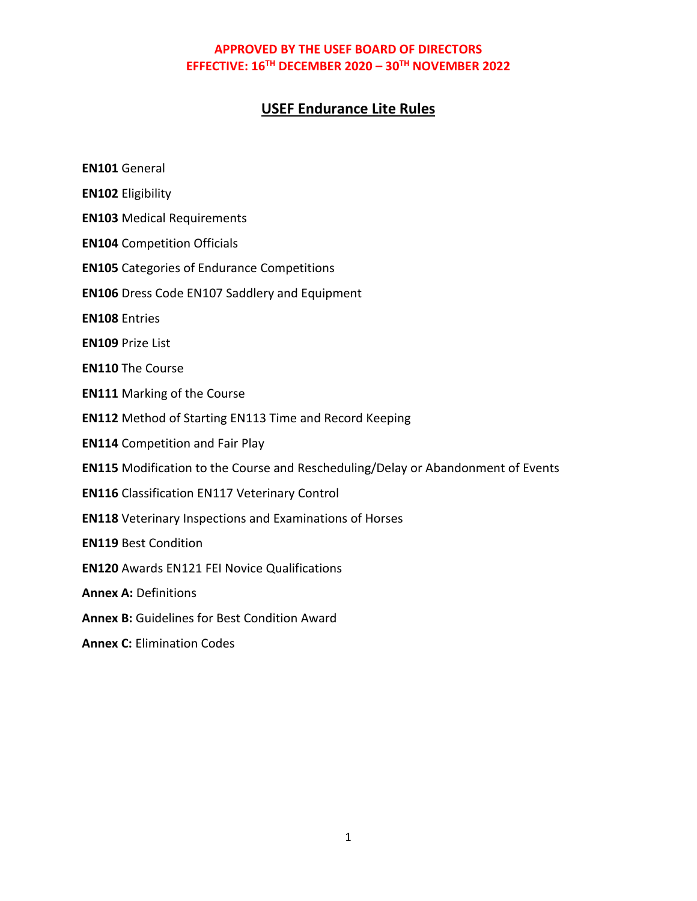# **USEF Endurance Lite Rules**

| <b>EN101 General</b>                                                             |
|----------------------------------------------------------------------------------|
| <b>EN102 Eligibility</b>                                                         |
| <b>EN103 Medical Requirements</b>                                                |
| <b>EN104 Competition Officials</b>                                               |
| <b>EN105</b> Categories of Endurance Competitions                                |
| <b>EN106</b> Dress Code EN107 Saddlery and Equipment                             |
| <b>EN108 Entries</b>                                                             |
| <b>EN109 Prize List</b>                                                          |
| <b>EN110 The Course</b>                                                          |
| <b>EN111 Marking of the Course</b>                                               |
| <b>EN112</b> Method of Starting EN113 Time and Record Keeping                    |
| <b>EN114 Competition and Fair Play</b>                                           |
| EN115 Modification to the Course and Rescheduling/Delay or Abandonment of Events |
| <b>EN116</b> Classification EN117 Veterinary Control                             |
| <b>EN118</b> Veterinary Inspections and Examinations of Horses                   |
| <b>EN119 Best Condition</b>                                                      |
| <b>EN120 Awards EN121 FEI Novice Qualifications</b>                              |
| <b>Annex A: Definitions</b>                                                      |
| Annex B: Guidelines for Best Condition Award                                     |
| <b>Annex C: Elimination Codes</b>                                                |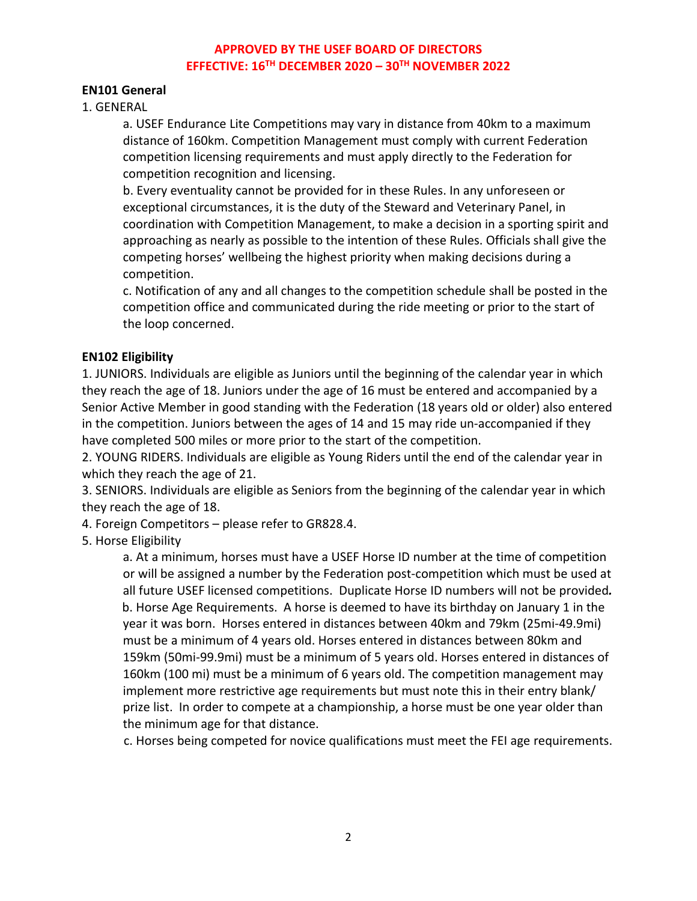#### **EN101 General**

1. GENERAL

a. USEF Endurance Lite Competitions may vary in distance from 40km to a maximum distance of 160km. Competition Management must comply with current Federation competition licensing requirements and must apply directly to the Federation for competition recognition and licensing.

b. Every eventuality cannot be provided for in these Rules. In any unforeseen or exceptional circumstances, it is the duty of the Steward and Veterinary Panel, in coordination with Competition Management, to make a decision in a sporting spirit and approaching as nearly as possible to the intention of these Rules. Officials shall give the competing horses' wellbeing the highest priority when making decisions during a competition.

c. Notification of any and all changes to the competition schedule shall be posted in the competition office and communicated during the ride meeting or prior to the start of the loop concerned.

#### **EN102 Eligibility**

1. JUNIORS. Individuals are eligible as Juniors until the beginning of the calendar year in which they reach the age of 18. Juniors under the age of 16 must be entered and accompanied by a Senior Active Member in good standing with the Federation (18 years old or older) also entered in the competition. Juniors between the ages of 14 and 15 may ride un-accompanied if they have completed 500 miles or more prior to the start of the competition.

2. YOUNG RIDERS. Individuals are eligible as Young Riders until the end of the calendar year in which they reach the age of 21.

3. SENIORS. Individuals are eligible as Seniors from the beginning of the calendar year in which they reach the age of 18.

4. Foreign Competitors – please refer to GR828.4.

5. Horse Eligibility

a. At a minimum, horses must have a USEF Horse ID number at the time of competition or will be assigned a number by the Federation post-competition which must be used at all future USEF licensed competitions. Duplicate Horse ID numbers will not be provided*.* b. Horse Age Requirements. A horse is deemed to have its birthday on January 1 in the year it was born. Horses entered in distances between 40km and 79km (25mi-49.9mi) must be a minimum of 4 years old. Horses entered in distances between 80km and 159km (50mi-99.9mi) must be a minimum of 5 years old. Horses entered in distances of 160km (100 mi) must be a minimum of 6 years old. The competition management may implement more restrictive age requirements but must note this in their entry blank/ prize list. In order to compete at a championship, a horse must be one year older than the minimum age for that distance.

c. Horses being competed for novice qualifications must meet the FEI age requirements.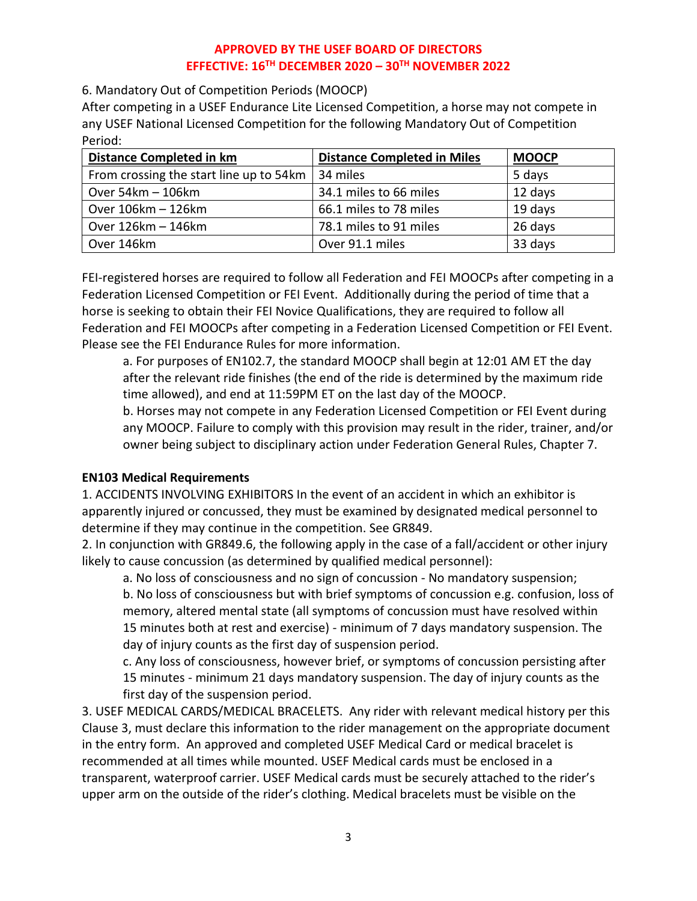6. Mandatory Out of Competition Periods (MOOCP)

After competing in a USEF Endurance Lite Licensed Competition, a horse may not compete in any USEF National Licensed Competition for the following Mandatory Out of Competition Period:

| <b>Distance Completed in km</b>         | <b>Distance Completed in Miles</b> | <b>MOOCP</b> |
|-----------------------------------------|------------------------------------|--------------|
| From crossing the start line up to 54km | 34 miles                           | 5 days       |
| Over 54km - 106km                       | 34.1 miles to 66 miles             | 12 days      |
| Over 106km - 126km                      | 66.1 miles to 78 miles             | 19 days      |
| Over 126km - 146km                      | 78.1 miles to 91 miles             | 26 days      |
| Over 146km                              | Over 91.1 miles                    | 33 days      |

FEI-registered horses are required to follow all Federation and FEI MOOCPs after competing in a Federation Licensed Competition or FEI Event. Additionally during the period of time that a horse is seeking to obtain their FEI Novice Qualifications, they are required to follow all Federation and FEI MOOCPs after competing in a Federation Licensed Competition or FEI Event. Please see the FEI Endurance Rules for more information.

a. For purposes of EN102.7, the standard MOOCP shall begin at 12:01 AM ET the day after the relevant ride finishes (the end of the ride is determined by the maximum ride time allowed), and end at 11:59PM ET on the last day of the MOOCP.

b. Horses may not compete in any Federation Licensed Competition or FEI Event during any MOOCP. Failure to comply with this provision may result in the rider, trainer, and/or owner being subject to disciplinary action under Federation General Rules, Chapter 7.

### **EN103 Medical Requirements**

1. ACCIDENTS INVOLVING EXHIBITORS In the event of an accident in which an exhibitor is apparently injured or concussed, they must be examined by designated medical personnel to determine if they may continue in the competition. See GR849.

2. In conjunction with GR849.6, the following apply in the case of a fall/accident or other injury likely to cause concussion (as determined by qualified medical personnel):

a. No loss of consciousness and no sign of concussion - No mandatory suspension; b. No loss of consciousness but with brief symptoms of concussion e.g. confusion, loss of memory, altered mental state (all symptoms of concussion must have resolved within 15 minutes both at rest and exercise) - minimum of 7 days mandatory suspension. The day of injury counts as the first day of suspension period.

c. Any loss of consciousness, however brief, or symptoms of concussion persisting after 15 minutes - minimum 21 days mandatory suspension. The day of injury counts as the first day of the suspension period.

3. USEF MEDICAL CARDS/MEDICAL BRACELETS. Any rider with relevant medical history per this Clause 3, must declare this information to the rider management on the appropriate document in the entry form.An approved and completed USEF Medical Card or medical bracelet is recommended at all times while mounted. USEF Medical cards must be enclosed in a transparent, waterproof carrier. USEF Medical cards must be securely attached to the rider's upper arm on the outside of the rider's clothing. Medical bracelets must be visible on the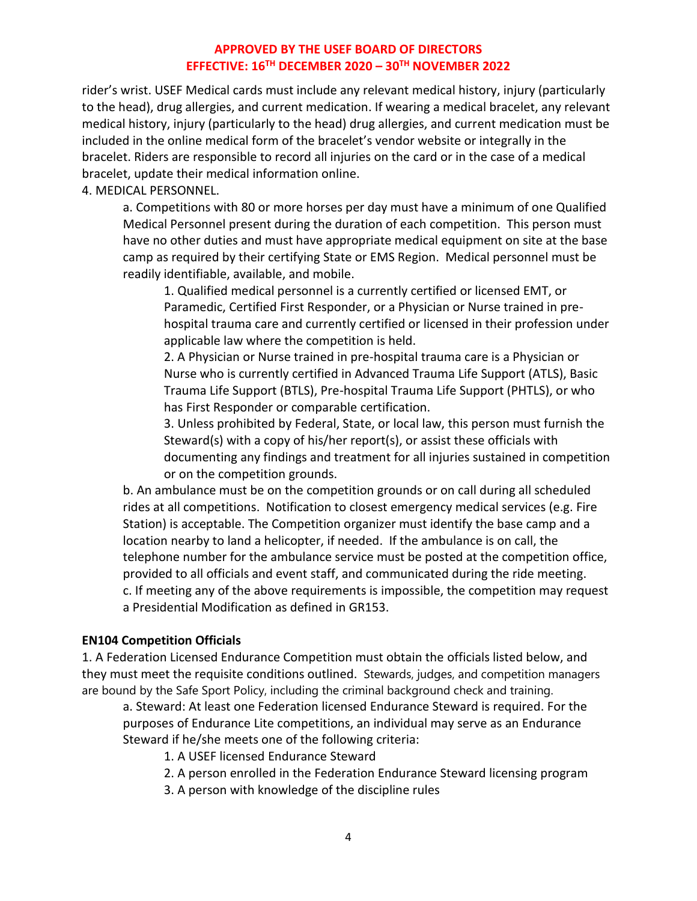rider's wrist. USEF Medical cards must include any relevant medical history, injury (particularly to the head), drug allergies, and current medication. If wearing a medical bracelet, any relevant medical history, injury (particularly to the head) drug allergies, and current medication must be included in the online medical form of the bracelet's vendor website or integrally in the bracelet. Riders are responsible to record all injuries on the card or in the case of a medical bracelet, update their medical information online.

4. MEDICAL PERSONNEL.

a. Competitions with 80 or more horses per day must have a minimum of one Qualified Medical Personnel present during the duration of each competition. This person must have no other duties and must have appropriate medical equipment on site at the base camp as required by their certifying State or EMS Region. Medical personnel must be readily identifiable, available, and mobile.

1. Qualified medical personnel is a currently certified or licensed EMT, or Paramedic, Certified First Responder, or a Physician or Nurse trained in prehospital trauma care and currently certified or licensed in their profession under applicable law where the competition is held.

2. A Physician or Nurse trained in pre-hospital trauma care is a Physician or Nurse who is currently certified in Advanced Trauma Life Support (ATLS), Basic Trauma Life Support (BTLS), Pre-hospital Trauma Life Support (PHTLS), or who has First Responder or comparable certification.

3. Unless prohibited by Federal, State, or local law, this person must furnish the Steward(s) with a copy of his/her report(s), or assist these officials with documenting any findings and treatment for all injuries sustained in competition or on the competition grounds.

b. An ambulance must be on the competition grounds or on call during all scheduled rides at all competitions. Notification to closest emergency medical services (e.g. Fire Station) is acceptable. The Competition organizer must identify the base camp and a location nearby to land a helicopter, if needed. If the ambulance is on call, the telephone number for the ambulance service must be posted at the competition office, provided to all officials and event staff, and communicated during the ride meeting. c. If meeting any of the above requirements is impossible, the competition may request a Presidential Modification as defined in GR153.

#### **EN104 Competition Officials**

1. A Federation Licensed Endurance Competition must obtain the officials listed below, and they must meet the requisite conditions outlined. Stewards, judges, and competition managers are bound by the Safe Sport Policy, including the criminal background check and training.

a. Steward: At least one Federation licensed Endurance Steward is required. For the purposes of Endurance Lite competitions, an individual may serve as an Endurance Steward if he/she meets one of the following criteria:

- 1. A USEF licensed Endurance Steward
- 2. A person enrolled in the Federation Endurance Steward licensing program
- 3. A person with knowledge of the discipline rules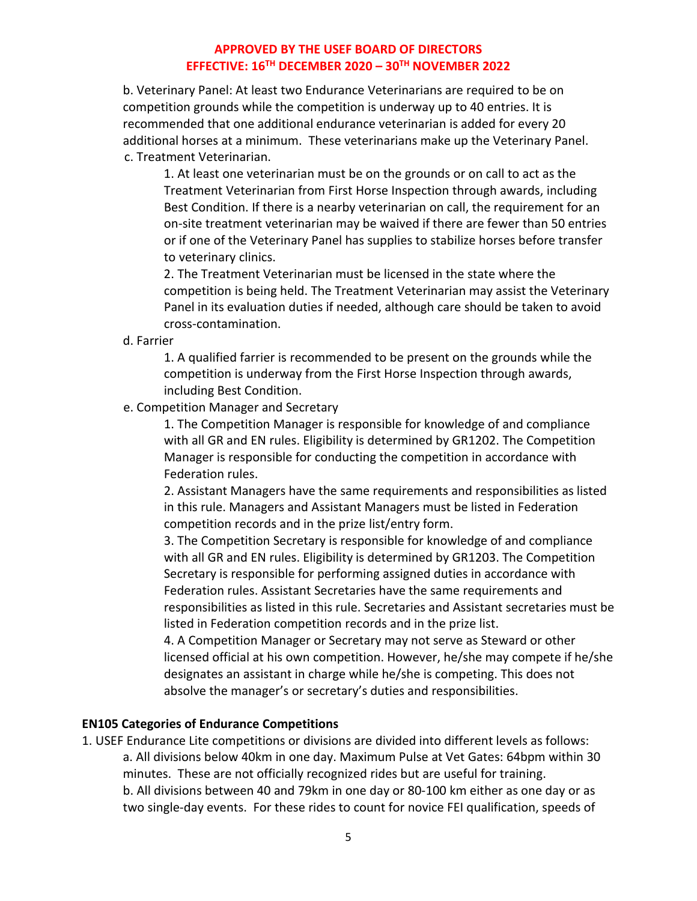b. Veterinary Panel: At least two Endurance Veterinarians are required to be on competition grounds while the competition is underway up to 40 entries. It is recommended that one additional endurance veterinarian is added for every 20 additional horses at a minimum. These veterinarians make up the Veterinary Panel. c. Treatment Veterinarian.

1. At least one veterinarian must be on the grounds or on call to act as the Treatment Veterinarian from First Horse Inspection through awards, including Best Condition. If there is a nearby veterinarian on call, the requirement for an on-site treatment veterinarian may be waived if there are fewer than 50 entries or if one of the Veterinary Panel has supplies to stabilize horses before transfer to veterinary clinics.

2. The Treatment Veterinarian must be licensed in the state where the competition is being held. The Treatment Veterinarian may assist the Veterinary Panel in its evaluation duties if needed, although care should be taken to avoid cross-contamination.

d. Farrier

1. A qualified farrier is recommended to be present on the grounds while the competition is underway from the First Horse Inspection through awards, including Best Condition.

e. Competition Manager and Secretary

1. The Competition Manager is responsible for knowledge of and compliance with all GR and EN rules. Eligibility is determined by GR1202. The Competition Manager is responsible for conducting the competition in accordance with Federation rules.

2. Assistant Managers have the same requirements and responsibilities as listed in this rule. Managers and Assistant Managers must be listed in Federation competition records and in the prize list/entry form.

3. The Competition Secretary is responsible for knowledge of and compliance with all GR and EN rules. Eligibility is determined by GR1203. The Competition Secretary is responsible for performing assigned duties in accordance with Federation rules. Assistant Secretaries have the same requirements and responsibilities as listed in this rule. Secretaries and Assistant secretaries must be listed in Federation competition records and in the prize list.

4. A Competition Manager or Secretary may not serve as Steward or other licensed official at his own competition. However, he/she may compete if he/she designates an assistant in charge while he/she is competing. This does not absolve the manager's or secretary's duties and responsibilities.

#### **EN105 Categories of Endurance Competitions**

1. USEF Endurance Lite competitions or divisions are divided into different levels as follows: a. All divisions below 40km in one day. Maximum Pulse at Vet Gates: 64bpm within 30 minutes. These are not officially recognized rides but are useful for training. b. All divisions between 40 and 79km in one day or 80-100 km either as one day or as two single-day events. For these rides to count for novice FEI qualification, speeds of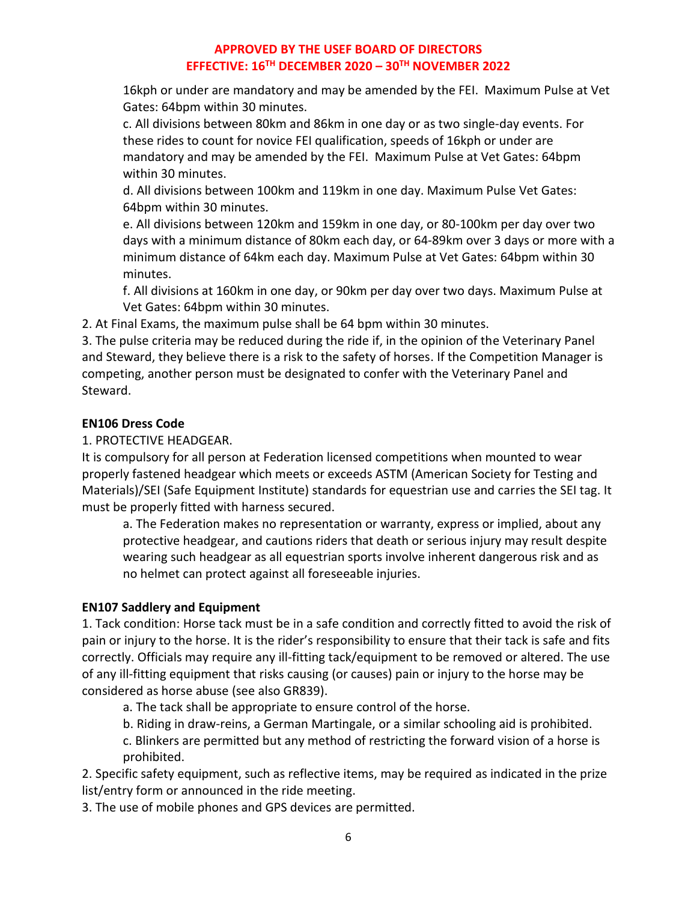16kph or under are mandatory and may be amended by the FEI. Maximum Pulse at Vet Gates: 64bpm within 30 minutes.

c. All divisions between 80km and 86km in one day or as two single-day events. For these rides to count for novice FEI qualification, speeds of 16kph or under are mandatory and may be amended by the FEI. Maximum Pulse at Vet Gates: 64bpm within 30 minutes.

d. All divisions between 100km and 119km in one day. Maximum Pulse Vet Gates: 64bpm within 30 minutes.

e. All divisions between 120km and 159km in one day, or 80-100km per day over two days with a minimum distance of 80km each day, or 64-89km over 3 days or more with a minimum distance of 64km each day. Maximum Pulse at Vet Gates: 64bpm within 30 minutes.

f. All divisions at 160km in one day, or 90km per day over two days. Maximum Pulse at Vet Gates: 64bpm within 30 minutes.

2. At Final Exams, the maximum pulse shall be 64 bpm within 30 minutes.

3. The pulse criteria may be reduced during the ride if, in the opinion of the Veterinary Panel and Steward, they believe there is a risk to the safety of horses. If the Competition Manager is competing, another person must be designated to confer with the Veterinary Panel and Steward.

### **EN106 Dress Code**

1. PROTECTIVE HEADGEAR.

It is compulsory for all person at Federation licensed competitions when mounted to wear properly fastened headgear which meets or exceeds ASTM (American Society for Testing and Materials)/SEI (Safe Equipment Institute) standards for equestrian use and carries the SEI tag. It must be properly fitted with harness secured.

a. The Federation makes no representation or warranty, express or implied, about any protective headgear, and cautions riders that death or serious injury may result despite wearing such headgear as all equestrian sports involve inherent dangerous risk and as no helmet can protect against all foreseeable injuries.

# **EN107 Saddlery and Equipment**

1. Tack condition: Horse tack must be in a safe condition and correctly fitted to avoid the risk of pain or injury to the horse. It is the rider's responsibility to ensure that their tack is safe and fits correctly. Officials may require any ill-fitting tack/equipment to be removed or altered. The use of any ill-fitting equipment that risks causing (or causes) pain or injury to the horse may be considered as horse abuse (see also GR839).

a. The tack shall be appropriate to ensure control of the horse.

b. Riding in draw-reins, a German Martingale, or a similar schooling aid is prohibited.

c. Blinkers are permitted but any method of restricting the forward vision of a horse is prohibited.

2. Specific safety equipment, such as reflective items, may be required as indicated in the prize list/entry form or announced in the ride meeting.

3. The use of mobile phones and GPS devices are permitted.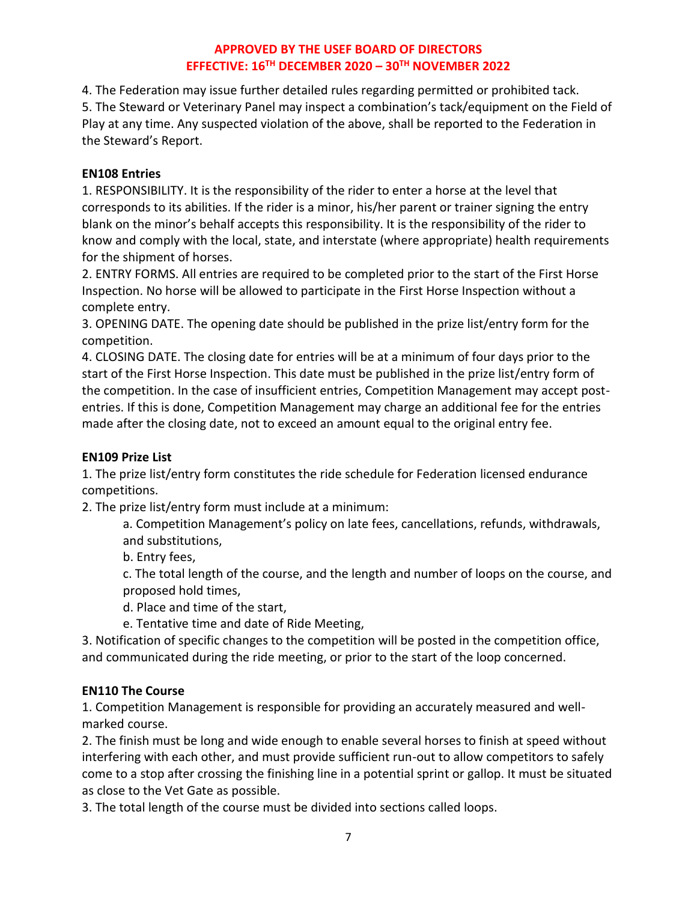4. The Federation may issue further detailed rules regarding permitted or prohibited tack. 5. The Steward or Veterinary Panel may inspect a combination's tack/equipment on the Field of Play at any time. Any suspected violation of the above, shall be reported to the Federation in the Steward's Report.

#### **EN108 Entries**

1. RESPONSIBILITY. It is the responsibility of the rider to enter a horse at the level that corresponds to its abilities. If the rider is a minor, his/her parent or trainer signing the entry blank on the minor's behalf accepts this responsibility. It is the responsibility of the rider to know and comply with the local, state, and interstate (where appropriate) health requirements for the shipment of horses.

2. ENTRY FORMS. All entries are required to be completed prior to the start of the First Horse Inspection. No horse will be allowed to participate in the First Horse Inspection without a complete entry.

3. OPENING DATE. The opening date should be published in the prize list/entry form for the competition.

4. CLOSING DATE. The closing date for entries will be at a minimum of four days prior to the start of the First Horse Inspection. This date must be published in the prize list/entry form of the competition. In the case of insufficient entries, Competition Management may accept postentries. If this is done, Competition Management may charge an additional fee for the entries made after the closing date, not to exceed an amount equal to the original entry fee.

### **EN109 Prize List**

1. The prize list/entry form constitutes the ride schedule for Federation licensed endurance competitions.

2. The prize list/entry form must include at a minimum:

a. Competition Management's policy on late fees, cancellations, refunds, withdrawals, and substitutions,

b. Entry fees,

c. The total length of the course, and the length and number of loops on the course, and proposed hold times,

d. Place and time of the start,

e. Tentative time and date of Ride Meeting,

3. Notification of specific changes to the competition will be posted in the competition office, and communicated during the ride meeting, or prior to the start of the loop concerned.

### **EN110 The Course**

1. Competition Management is responsible for providing an accurately measured and wellmarked course.

2. The finish must be long and wide enough to enable several horses to finish at speed without interfering with each other, and must provide sufficient run-out to allow competitors to safely come to a stop after crossing the finishing line in a potential sprint or gallop. It must be situated as close to the Vet Gate as possible.

3. The total length of the course must be divided into sections called loops.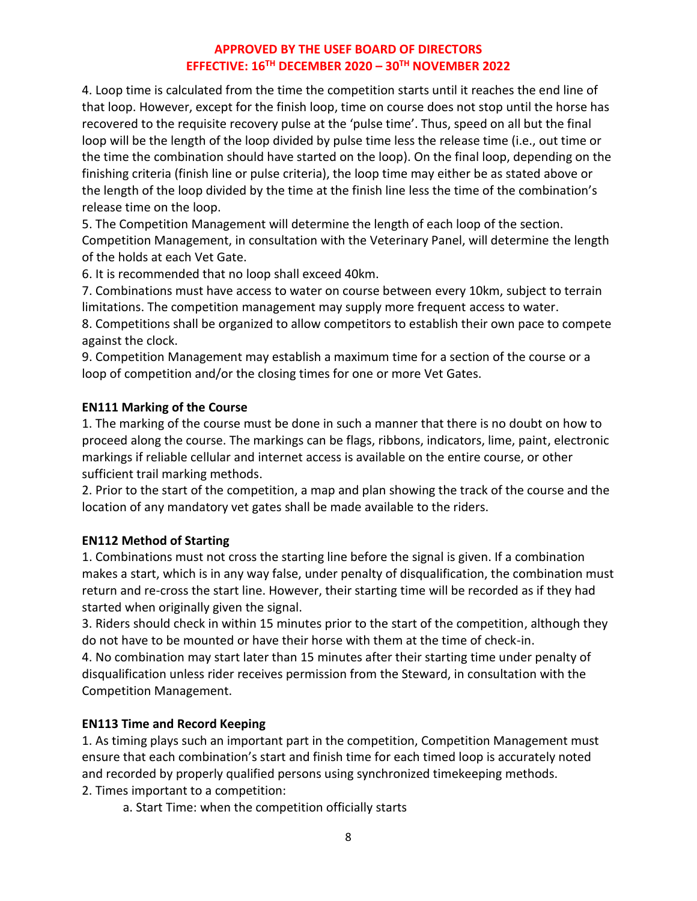4. Loop time is calculated from the time the competition starts until it reaches the end line of that loop. However, except for the finish loop, time on course does not stop until the horse has recovered to the requisite recovery pulse at the 'pulse time'. Thus, speed on all but the final loop will be the length of the loop divided by pulse time less the release time (i.e., out time or the time the combination should have started on the loop). On the final loop, depending on the finishing criteria (finish line or pulse criteria), the loop time may either be as stated above or the length of the loop divided by the time at the finish line less the time of the combination's release time on the loop.

5. The Competition Management will determine the length of each loop of the section. Competition Management, in consultation with the Veterinary Panel, will determine the length of the holds at each Vet Gate.

6. It is recommended that no loop shall exceed 40km.

7. Combinations must have access to water on course between every 10km, subject to terrain limitations. The competition management may supply more frequent access to water.

8. Competitions shall be organized to allow competitors to establish their own pace to compete against the clock.

9. Competition Management may establish a maximum time for a section of the course or a loop of competition and/or the closing times for one or more Vet Gates.

#### **EN111 Marking of the Course**

1. The marking of the course must be done in such a manner that there is no doubt on how to proceed along the course. The markings can be flags, ribbons, indicators, lime, paint, electronic markings if reliable cellular and internet access is available on the entire course, or other sufficient trail marking methods.

2. Prior to the start of the competition, a map and plan showing the track of the course and the location of any mandatory vet gates shall be made available to the riders.

#### **EN112 Method of Starting**

1. Combinations must not cross the starting line before the signal is given. If a combination makes a start, which is in any way false, under penalty of disqualification, the combination must return and re-cross the start line. However, their starting time will be recorded as if they had started when originally given the signal.

3. Riders should check in within 15 minutes prior to the start of the competition, although they do not have to be mounted or have their horse with them at the time of check-in.

4. No combination may start later than 15 minutes after their starting time under penalty of disqualification unless rider receives permission from the Steward, in consultation with the Competition Management.

#### **EN113 Time and Record Keeping**

1. As timing plays such an important part in the competition, Competition Management must ensure that each combination's start and finish time for each timed loop is accurately noted and recorded by properly qualified persons using synchronized timekeeping methods. 2. Times important to a competition:

a. Start Time: when the competition officially starts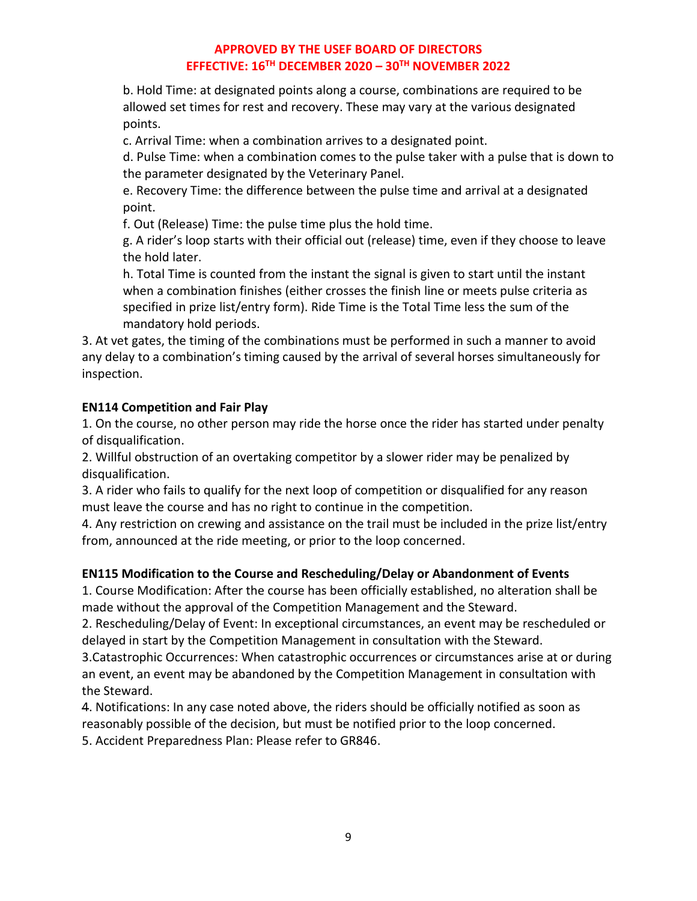b. Hold Time: at designated points along a course, combinations are required to be allowed set times for rest and recovery. These may vary at the various designated points.

c. Arrival Time: when a combination arrives to a designated point.

d. Pulse Time: when a combination comes to the pulse taker with a pulse that is down to the parameter designated by the Veterinary Panel.

e. Recovery Time: the difference between the pulse time and arrival at a designated point.

f. Out (Release) Time: the pulse time plus the hold time.

g. A rider's loop starts with their official out (release) time, even if they choose to leave the hold later.

h. Total Time is counted from the instant the signal is given to start until the instant when a combination finishes (either crosses the finish line or meets pulse criteria as specified in prize list/entry form). Ride Time is the Total Time less the sum of the mandatory hold periods.

3. At vet gates, the timing of the combinations must be performed in such a manner to avoid any delay to a combination's timing caused by the arrival of several horses simultaneously for inspection.

# **EN114 Competition and Fair Play**

1. On the course, no other person may ride the horse once the rider has started under penalty of disqualification.

2. Willful obstruction of an overtaking competitor by a slower rider may be penalized by disqualification.

3. A rider who fails to qualify for the next loop of competition or disqualified for any reason must leave the course and has no right to continue in the competition.

4. Any restriction on crewing and assistance on the trail must be included in the prize list/entry from, announced at the ride meeting, or prior to the loop concerned.

# **EN115 Modification to the Course and Rescheduling/Delay or Abandonment of Events**

1. Course Modification: After the course has been officially established, no alteration shall be made without the approval of the Competition Management and the Steward.

2. Rescheduling/Delay of Event: In exceptional circumstances, an event may be rescheduled or delayed in start by the Competition Management in consultation with the Steward.

3.Catastrophic Occurrences: When catastrophic occurrences or circumstances arise at or during an event, an event may be abandoned by the Competition Management in consultation with the Steward.

4. Notifications: In any case noted above, the riders should be officially notified as soon as reasonably possible of the decision, but must be notified prior to the loop concerned.

5. Accident Preparedness Plan: Please refer to GR846.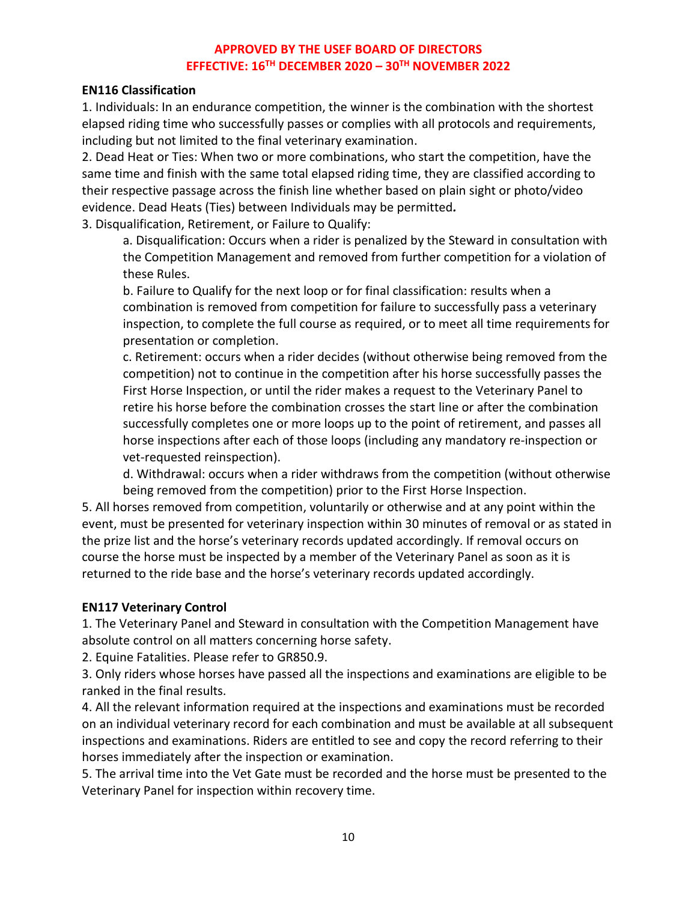#### **EN116 Classification**

1. Individuals: In an endurance competition, the winner is the combination with the shortest elapsed riding time who successfully passes or complies with all protocols and requirements, including but not limited to the final veterinary examination.

2. Dead Heat or Ties: When two or more combinations, who start the competition, have the same time and finish with the same total elapsed riding time, they are classified according to their respective passage across the finish line whether based on plain sight or photo/video evidence. Dead Heats (Ties) between Individuals may be permitted*.*

3. Disqualification, Retirement, or Failure to Qualify:

a. Disqualification: Occurs when a rider is penalized by the Steward in consultation with the Competition Management and removed from further competition for a violation of these Rules.

b. Failure to Qualify for the next loop or for final classification: results when a combination is removed from competition for failure to successfully pass a veterinary inspection, to complete the full course as required, or to meet all time requirements for presentation or completion.

c. Retirement: occurs when a rider decides (without otherwise being removed from the competition) not to continue in the competition after his horse successfully passes the First Horse Inspection, or until the rider makes a request to the Veterinary Panel to retire his horse before the combination crosses the start line or after the combination successfully completes one or more loops up to the point of retirement, and passes all horse inspections after each of those loops (including any mandatory re-inspection or vet-requested reinspection).

d. Withdrawal: occurs when a rider withdraws from the competition (without otherwise being removed from the competition) prior to the First Horse Inspection.

5. All horses removed from competition, voluntarily or otherwise and at any point within the event, must be presented for veterinary inspection within 30 minutes of removal or as stated in the prize list and the horse's veterinary records updated accordingly. If removal occurs on course the horse must be inspected by a member of the Veterinary Panel as soon as it is returned to the ride base and the horse's veterinary records updated accordingly.

### **EN117 Veterinary Control**

1. The Veterinary Panel and Steward in consultation with the Competition Management have absolute control on all matters concerning horse safety.

2. Equine Fatalities. Please refer to GR850.9.

3. Only riders whose horses have passed all the inspections and examinations are eligible to be ranked in the final results.

4. All the relevant information required at the inspections and examinations must be recorded on an individual veterinary record for each combination and must be available at all subsequent inspections and examinations. Riders are entitled to see and copy the record referring to their horses immediately after the inspection or examination.

5. The arrival time into the Vet Gate must be recorded and the horse must be presented to the Veterinary Panel for inspection within recovery time.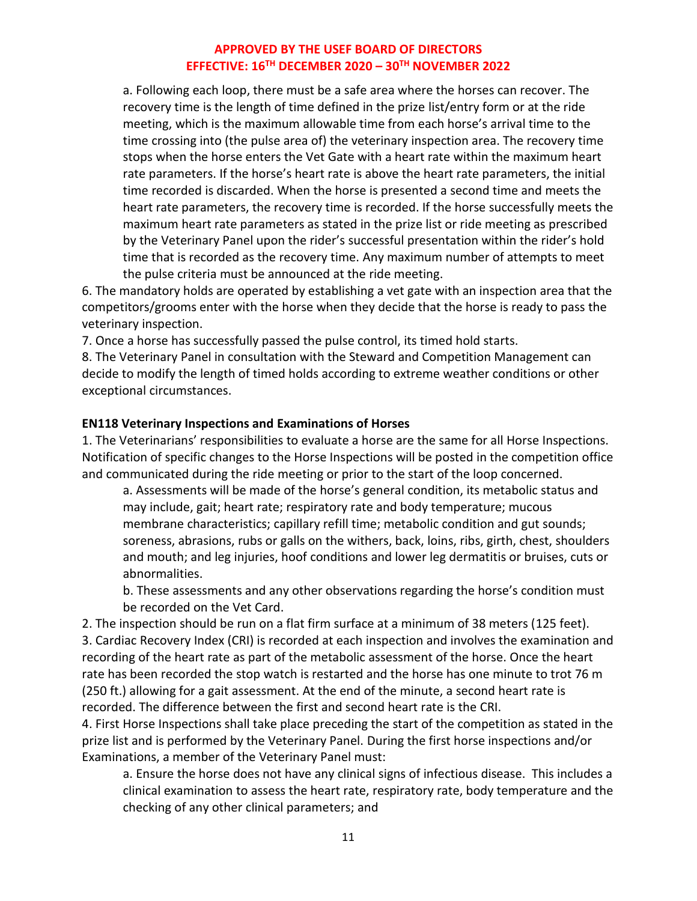a. Following each loop, there must be a safe area where the horses can recover. The recovery time is the length of time defined in the prize list/entry form or at the ride meeting, which is the maximum allowable time from each horse's arrival time to the time crossing into (the pulse area of) the veterinary inspection area. The recovery time stops when the horse enters the Vet Gate with a heart rate within the maximum heart rate parameters. If the horse's heart rate is above the heart rate parameters, the initial time recorded is discarded. When the horse is presented a second time and meets the heart rate parameters, the recovery time is recorded. If the horse successfully meets the maximum heart rate parameters as stated in the prize list or ride meeting as prescribed by the Veterinary Panel upon the rider's successful presentation within the rider's hold time that is recorded as the recovery time. Any maximum number of attempts to meet the pulse criteria must be announced at the ride meeting.

6. The mandatory holds are operated by establishing a vet gate with an inspection area that the competitors/grooms enter with the horse when they decide that the horse is ready to pass the veterinary inspection.

7. Once a horse has successfully passed the pulse control, its timed hold starts.

8. The Veterinary Panel in consultation with the Steward and Competition Management can decide to modify the length of timed holds according to extreme weather conditions or other exceptional circumstances.

#### **EN118 Veterinary Inspections and Examinations of Horses**

1. The Veterinarians' responsibilities to evaluate a horse are the same for all Horse Inspections. Notification of specific changes to the Horse Inspections will be posted in the competition office and communicated during the ride meeting or prior to the start of the loop concerned.

a. Assessments will be made of the horse's general condition, its metabolic status and may include, gait; heart rate; respiratory rate and body temperature; mucous membrane characteristics; capillary refill time; metabolic condition and gut sounds; soreness, abrasions, rubs or galls on the withers, back, loins, ribs, girth, chest, shoulders and mouth; and leg injuries, hoof conditions and lower leg dermatitis or bruises, cuts or abnormalities.

b. These assessments and any other observations regarding the horse's condition must be recorded on the Vet Card.

2. The inspection should be run on a flat firm surface at a minimum of 38 meters (125 feet). 3. Cardiac Recovery Index (CRI) is recorded at each inspection and involves the examination and recording of the heart rate as part of the metabolic assessment of the horse. Once the heart rate has been recorded the stop watch is restarted and the horse has one minute to trot 76 m (250 ft.) allowing for a gait assessment. At the end of the minute, a second heart rate is recorded. The difference between the first and second heart rate is the CRI.

4. First Horse Inspections shall take place preceding the start of the competition as stated in the prize list and is performed by the Veterinary Panel. During the first horse inspections and/or Examinations, a member of the Veterinary Panel must:

a. Ensure the horse does not have any clinical signs of infectious disease. This includes a clinical examination to assess the heart rate, respiratory rate, body temperature and the checking of any other clinical parameters; and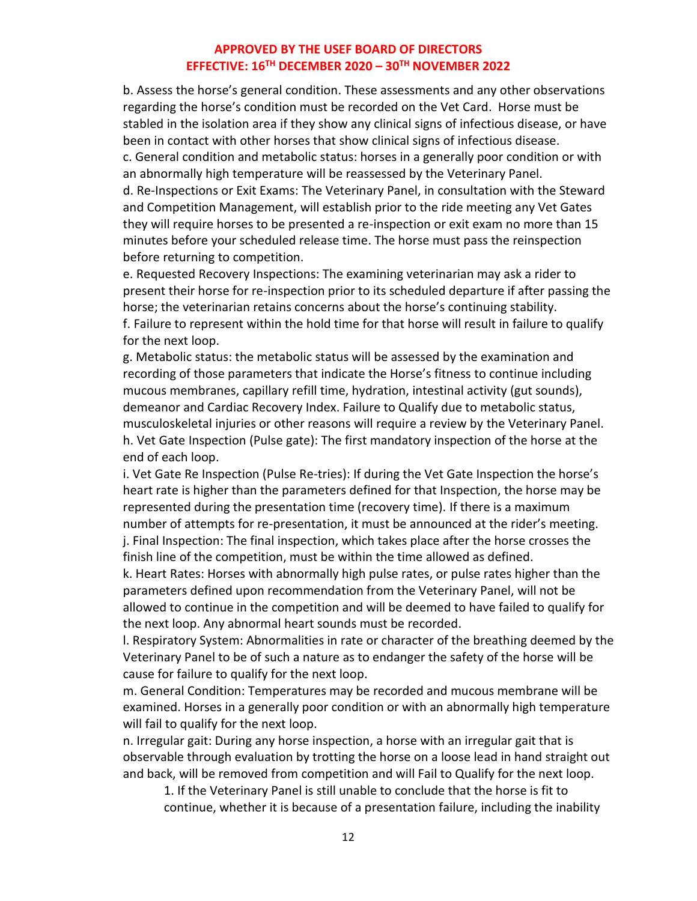b. Assess the horse's general condition. These assessments and any other observations regarding the horse's condition must be recorded on the Vet Card. Horse must be stabled in the isolation area if they show any clinical signs of infectious disease, or have been in contact with other horses that show clinical signs of infectious disease. c. General condition and metabolic status: horses in a generally poor condition or with an abnormally high temperature will be reassessed by the Veterinary Panel. d. Re-Inspections or Exit Exams: The Veterinary Panel, in consultation with the Steward and Competition Management, will establish prior to the ride meeting any Vet Gates they will require horses to be presented a re-inspection or exit exam no more than 15 minutes before your scheduled release time. The horse must pass the reinspection before returning to competition.

e. Requested Recovery Inspections: The examining veterinarian may ask a rider to present their horse for re-inspection prior to its scheduled departure if after passing the horse; the veterinarian retains concerns about the horse's continuing stability. f. Failure to represent within the hold time for that horse will result in failure to qualify for the next loop.

g. Metabolic status: the metabolic status will be assessed by the examination and recording of those parameters that indicate the Horse's fitness to continue including mucous membranes, capillary refill time, hydration, intestinal activity (gut sounds), demeanor and Cardiac Recovery Index. Failure to Qualify due to metabolic status, musculoskeletal injuries or other reasons will require a review by the Veterinary Panel. h. Vet Gate Inspection (Pulse gate): The first mandatory inspection of the horse at the end of each loop.

i. Vet Gate Re Inspection (Pulse Re-tries): If during the Vet Gate Inspection the horse's heart rate is higher than the parameters defined for that Inspection, the horse may be represented during the presentation time (recovery time). If there is a maximum number of attempts for re-presentation, it must be announced at the rider's meeting. j. Final Inspection: The final inspection, which takes place after the horse crosses the finish line of the competition, must be within the time allowed as defined.

k. Heart Rates: Horses with abnormally high pulse rates, or pulse rates higher than the parameters defined upon recommendation from the Veterinary Panel, will not be allowed to continue in the competition and will be deemed to have failed to qualify for the next loop. Any abnormal heart sounds must be recorded.

l. Respiratory System: Abnormalities in rate or character of the breathing deemed by the Veterinary Panel to be of such a nature as to endanger the safety of the horse will be cause for failure to qualify for the next loop.

m. General Condition: Temperatures may be recorded and mucous membrane will be examined. Horses in a generally poor condition or with an abnormally high temperature will fail to qualify for the next loop.

n. Irregular gait: During any horse inspection, a horse with an irregular gait that is observable through evaluation by trotting the horse on a loose lead in hand straight out and back, will be removed from competition and will Fail to Qualify for the next loop.

1. If the Veterinary Panel is still unable to conclude that the horse is fit to continue, whether it is because of a presentation failure, including the inability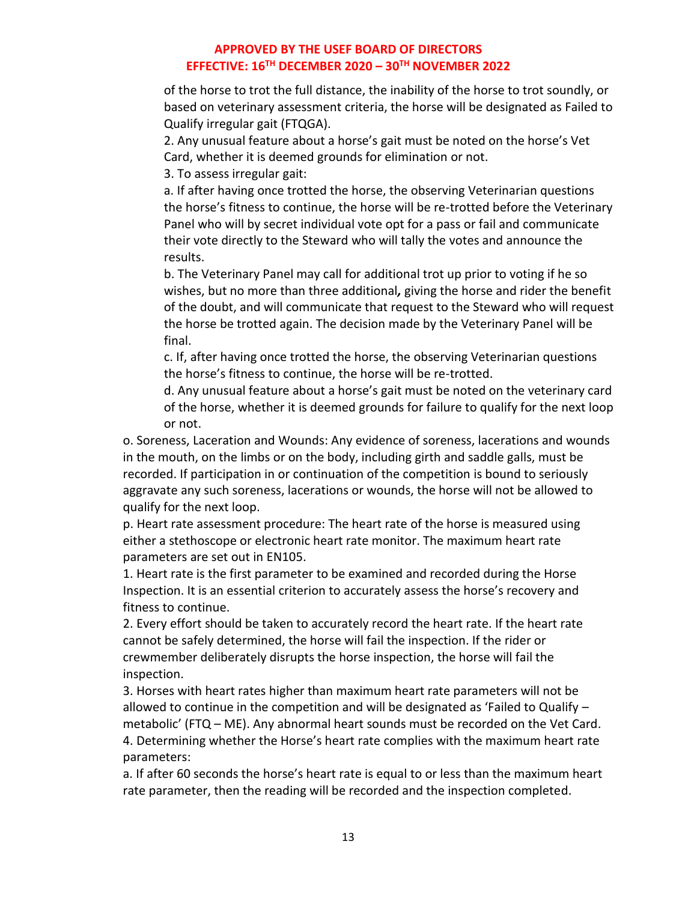of the horse to trot the full distance, the inability of the horse to trot soundly, or based on veterinary assessment criteria, the horse will be designated as Failed to Qualify irregular gait (FTQGA).

2. Any unusual feature about a horse's gait must be noted on the horse's Vet Card, whether it is deemed grounds for elimination or not.

3. To assess irregular gait:

a. If after having once trotted the horse, the observing Veterinarian questions the horse's fitness to continue, the horse will be re-trotted before the Veterinary Panel who will by secret individual vote opt for a pass or fail and communicate their vote directly to the Steward who will tally the votes and announce the results.

b. The Veterinary Panel may call for additional trot up prior to voting if he so wishes, but no more than three additional*,* giving the horse and rider the benefit of the doubt, and will communicate that request to the Steward who will request the horse be trotted again. The decision made by the Veterinary Panel will be final.

c. If, after having once trotted the horse, the observing Veterinarian questions the horse's fitness to continue, the horse will be re-trotted.

d. Any unusual feature about a horse's gait must be noted on the veterinary card of the horse, whether it is deemed grounds for failure to qualify for the next loop or not.

o. Soreness, Laceration and Wounds: Any evidence of soreness, lacerations and wounds in the mouth, on the limbs or on the body, including girth and saddle galls, must be recorded. If participation in or continuation of the competition is bound to seriously aggravate any such soreness, lacerations or wounds, the horse will not be allowed to qualify for the next loop.

p. Heart rate assessment procedure: The heart rate of the horse is measured using either a stethoscope or electronic heart rate monitor. The maximum heart rate parameters are set out in EN105.

1. Heart rate is the first parameter to be examined and recorded during the Horse Inspection. It is an essential criterion to accurately assess the horse's recovery and fitness to continue.

2. Every effort should be taken to accurately record the heart rate. If the heart rate cannot be safely determined, the horse will fail the inspection. If the rider or crewmember deliberately disrupts the horse inspection, the horse will fail the inspection.

3. Horses with heart rates higher than maximum heart rate parameters will not be allowed to continue in the competition and will be designated as 'Failed to Qualify – metabolic' (FTQ – ME). Any abnormal heart sounds must be recorded on the Vet Card. 4. Determining whether the Horse's heart rate complies with the maximum heart rate parameters:

a. If after 60 seconds the horse's heart rate is equal to or less than the maximum heart rate parameter, then the reading will be recorded and the inspection completed.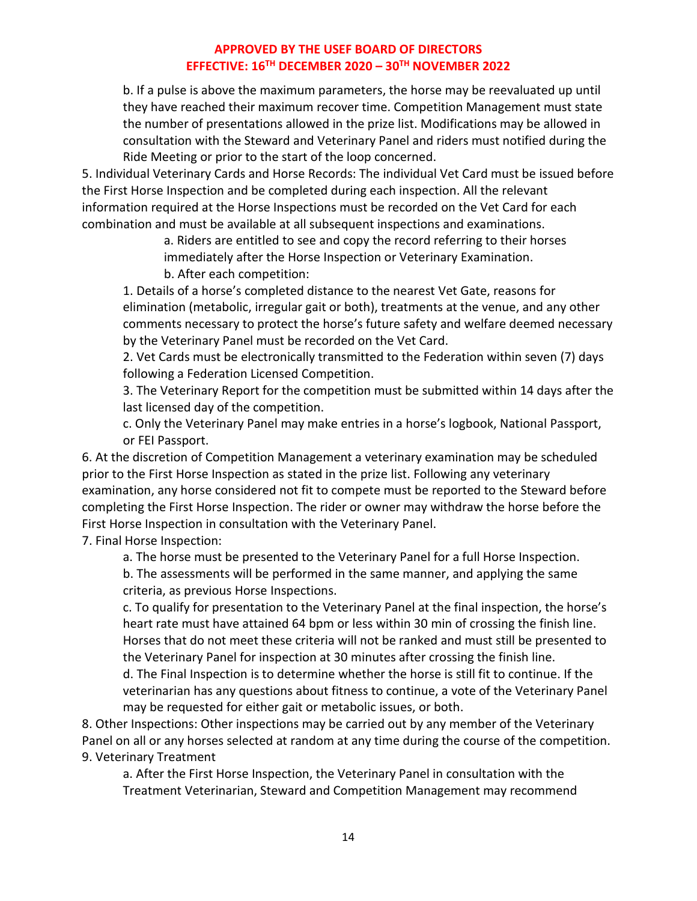b. If a pulse is above the maximum parameters, the horse may be reevaluated up until they have reached their maximum recover time. Competition Management must state the number of presentations allowed in the prize list. Modifications may be allowed in consultation with the Steward and Veterinary Panel and riders must notified during the Ride Meeting or prior to the start of the loop concerned.

5. Individual Veterinary Cards and Horse Records: The individual Vet Card must be issued before the First Horse Inspection and be completed during each inspection. All the relevant information required at the Horse Inspections must be recorded on the Vet Card for each combination and must be available at all subsequent inspections and examinations.

a. Riders are entitled to see and copy the record referring to their horses

immediately after the Horse Inspection or Veterinary Examination.

b. After each competition:

1. Details of a horse's completed distance to the nearest Vet Gate, reasons for elimination (metabolic, irregular gait or both), treatments at the venue, and any other comments necessary to protect the horse's future safety and welfare deemed necessary by the Veterinary Panel must be recorded on the Vet Card.

2. Vet Cards must be electronically transmitted to the Federation within seven (7) days following a Federation Licensed Competition.

3. The Veterinary Report for the competition must be submitted within 14 days after the last licensed day of the competition.

c. Only the Veterinary Panel may make entries in a horse's logbook, National Passport, or FEI Passport.

6. At the discretion of Competition Management a veterinary examination may be scheduled prior to the First Horse Inspection as stated in the prize list. Following any veterinary examination, any horse considered not fit to compete must be reported to the Steward before completing the First Horse Inspection. The rider or owner may withdraw the horse before the First Horse Inspection in consultation with the Veterinary Panel.

7. Final Horse Inspection:

a. The horse must be presented to the Veterinary Panel for a full Horse Inspection.

b. The assessments will be performed in the same manner, and applying the same criteria, as previous Horse Inspections.

c. To qualify for presentation to the Veterinary Panel at the final inspection, the horse's heart rate must have attained 64 bpm or less within 30 min of crossing the finish line. Horses that do not meet these criteria will not be ranked and must still be presented to the Veterinary Panel for inspection at 30 minutes after crossing the finish line.

d. The Final Inspection is to determine whether the horse is still fit to continue. If the veterinarian has any questions about fitness to continue, a vote of the Veterinary Panel may be requested for either gait or metabolic issues, or both.

8. Other Inspections: Other inspections may be carried out by any member of the Veterinary Panel on all or any horses selected at random at any time during the course of the competition. 9. Veterinary Treatment

a. After the First Horse Inspection, the Veterinary Panel in consultation with the Treatment Veterinarian, Steward and Competition Management may recommend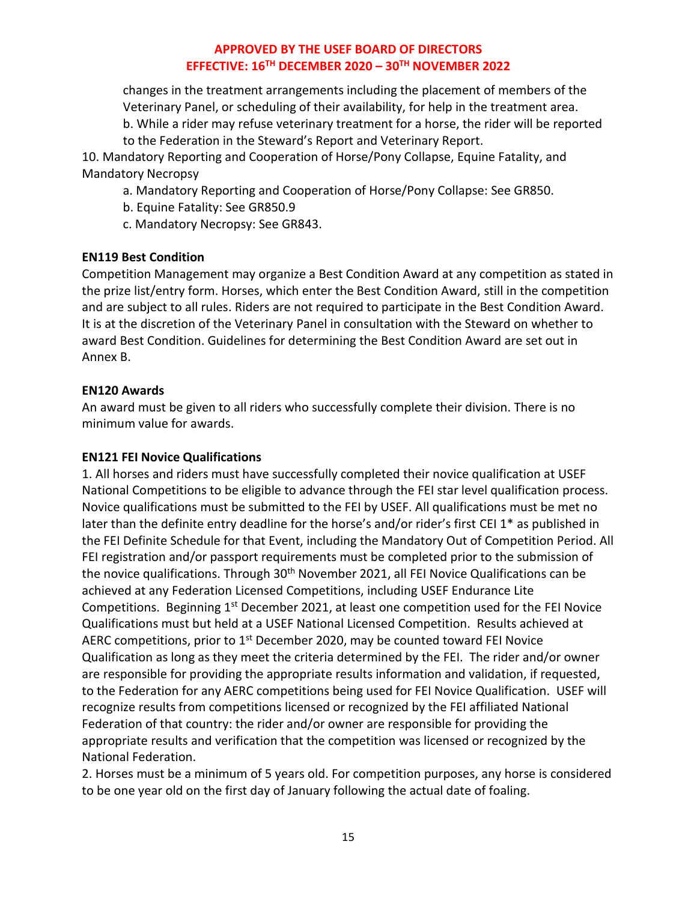changes in the treatment arrangements including the placement of members of the Veterinary Panel, or scheduling of their availability, for help in the treatment area. b. While a rider may refuse veterinary treatment for a horse, the rider will be reported to the Federation in the Steward's Report and Veterinary Report.

10. Mandatory Reporting and Cooperation of Horse/Pony Collapse, Equine Fatality, and Mandatory Necropsy

a. Mandatory Reporting and Cooperation of Horse/Pony Collapse: See GR850.

b. Equine Fatality: See GR850.9

c. Mandatory Necropsy: See GR843.

#### **EN119 Best Condition**

Competition Management may organize a Best Condition Award at any competition as stated in the prize list/entry form. Horses, which enter the Best Condition Award, still in the competition and are subject to all rules. Riders are not required to participate in the Best Condition Award. It is at the discretion of the Veterinary Panel in consultation with the Steward on whether to award Best Condition. Guidelines for determining the Best Condition Award are set out in Annex B.

#### **EN120 Awards**

An award must be given to all riders who successfully complete their division. There is no minimum value for awards.

### **EN121 FEI Novice Qualifications**

1. All horses and riders must have successfully completed their novice qualification at USEF National Competitions to be eligible to advance through the FEI star level qualification process. Novice qualifications must be submitted to the FEI by USEF. All qualifications must be met no later than the definite entry deadline for the horse's and/or rider's first CEI 1\* as published in the FEI Definite Schedule for that Event, including the Mandatory Out of Competition Period. All FEI registration and/or passport requirements must be completed prior to the submission of the novice qualifications. Through 30<sup>th</sup> November 2021, all FEI Novice Qualifications can be achieved at any Federation Licensed Competitions, including USEF Endurance Lite Competitions. Beginning 1<sup>st</sup> December 2021, at least one competition used for the FEI Novice Qualifications must but held at a USEF National Licensed Competition. Results achieved at AERC competitions, prior to  $1<sup>st</sup>$  December 2020, may be counted toward FEI Novice Qualification as long as they meet the criteria determined by the FEI. The rider and/or owner are responsible for providing the appropriate results information and validation, if requested, to the Federation for any AERC competitions being used for FEI Novice Qualification. USEF will recognize results from competitions licensed or recognized by the FEI affiliated National Federation of that country: the rider and/or owner are responsible for providing the appropriate results and verification that the competition was licensed or recognized by the National Federation.

2. Horses must be a minimum of 5 years old. For competition purposes, any horse is considered to be one year old on the first day of January following the actual date of foaling.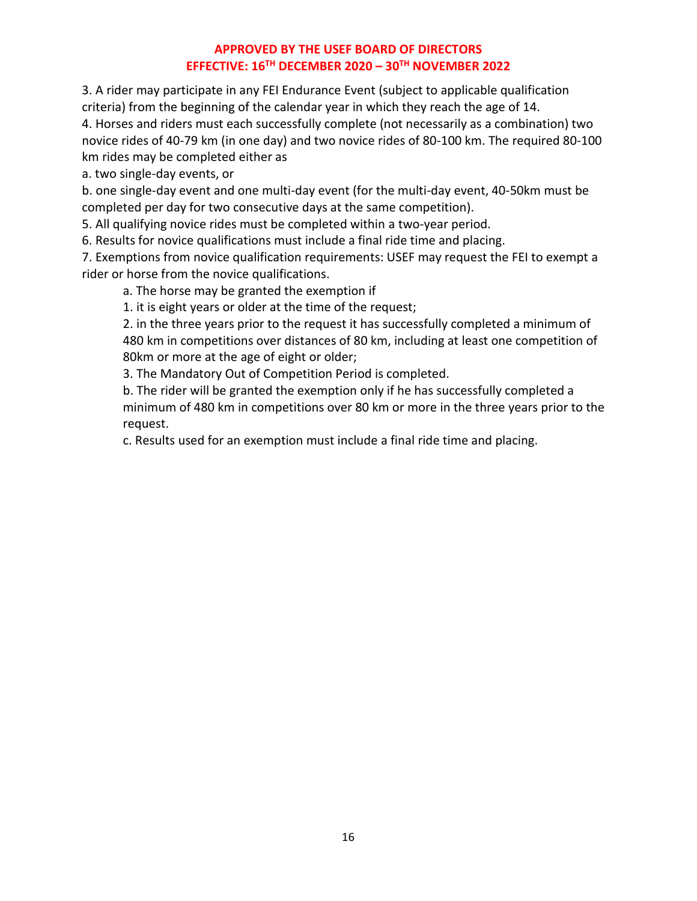3. A rider may participate in any FEI Endurance Event (subject to applicable qualification criteria) from the beginning of the calendar year in which they reach the age of 14.

4. Horses and riders must each successfully complete (not necessarily as a combination) two novice rides of 40-79 km (in one day) and two novice rides of 80-100 km. The required 80-100 km rides may be completed either as

a. two single-day events, or

b. one single-day event and one multi-day event (for the multi-day event, 40-50km must be completed per day for two consecutive days at the same competition).

5. All qualifying novice rides must be completed within a two-year period.

6. Results for novice qualifications must include a final ride time and placing.

7. Exemptions from novice qualification requirements: USEF may request the FEI to exempt a rider or horse from the novice qualifications.

a. The horse may be granted the exemption if

1. it is eight years or older at the time of the request;

2. in the three years prior to the request it has successfully completed a minimum of 480 km in competitions over distances of 80 km, including at least one competition of 80km or more at the age of eight or older;

3. The Mandatory Out of Competition Period is completed.

b. The rider will be granted the exemption only if he has successfully completed a minimum of 480 km in competitions over 80 km or more in the three years prior to the request.

c. Results used for an exemption must include a final ride time and placing.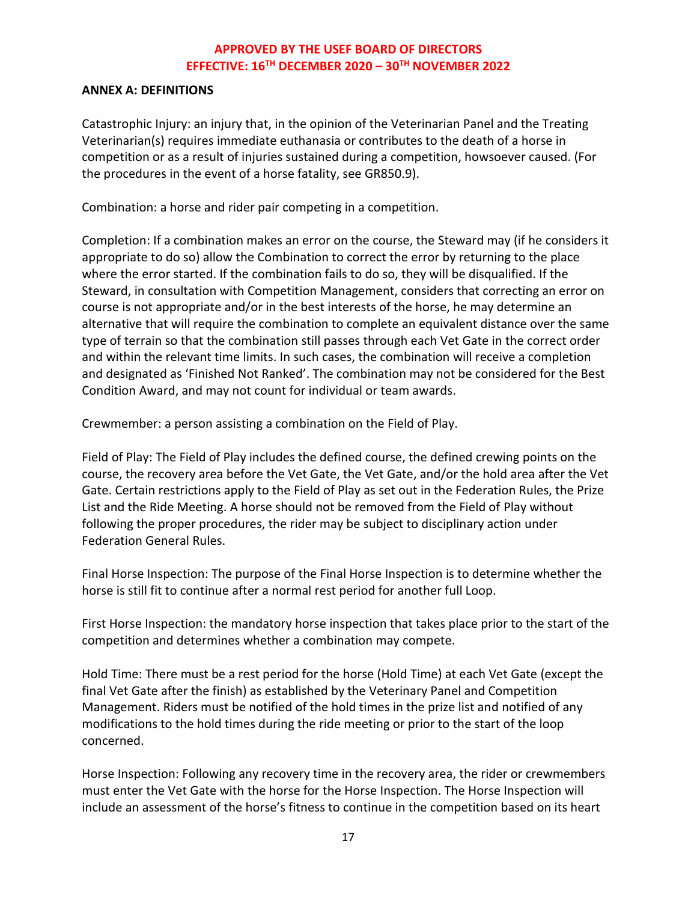#### **ANNEX A: DEFINITIONS**

Catastrophic Injury: an injury that, in the opinion of the Veterinarian Panel and the Treating Veterinarian(s) requires immediate euthanasia or contributes to the death of a horse in competition or as a result of injuries sustained during a competition, howsoever caused. (For the procedures in the event of a horse fatality, see GR850.9).

Combination: a horse and rider pair competing in a competition.

Completion: If a combination makes an error on the course, the Steward may (if he considers it appropriate to do so) allow the Combination to correct the error by returning to the place where the error started. If the combination fails to do so, they will be disqualified. If the Steward, in consultation with Competition Management, considers that correcting an error on course is not appropriate and/or in the best interests of the horse, he may determine an alternative that will require the combination to complete an equivalent distance over the same type of terrain so that the combination still passes through each Vet Gate in the correct order and within the relevant time limits. In such cases, the combination will receive a completion and designated as 'Finished Not Ranked'. The combination may not be considered for the Best Condition Award, and may not count for individual or team awards.

Crewmember: a person assisting a combination on the Field of Play.

Field of Play: The Field of Play includes the defined course, the defined crewing points on the course, the recovery area before the Vet Gate, the Vet Gate, and/or the hold area after the Vet Gate. Certain restrictions apply to the Field of Play as set out in the Federation Rules, the Prize List and the Ride Meeting. A horse should not be removed from the Field of Play without following the proper procedures, the rider may be subject to disciplinary action under Federation General Rules.

Final Horse Inspection: The purpose of the Final Horse Inspection is to determine whether the horse is still fit to continue after a normal rest period for another full Loop.

First Horse Inspection: the mandatory horse inspection that takes place prior to the start of the competition and determines whether a combination may compete.

Hold Time: There must be a rest period for the horse (Hold Time) at each Vet Gate (except the final Vet Gate after the finish) as established by the Veterinary Panel and Competition Management. Riders must be notified of the hold times in the prize list and notified of any modifications to the hold times during the ride meeting or prior to the start of the loop concerned.

Horse Inspection: Following any recovery time in the recovery area, the rider or crewmembers must enter the Vet Gate with the horse for the Horse Inspection. The Horse Inspection will include an assessment of the horse's fitness to continue in the competition based on its heart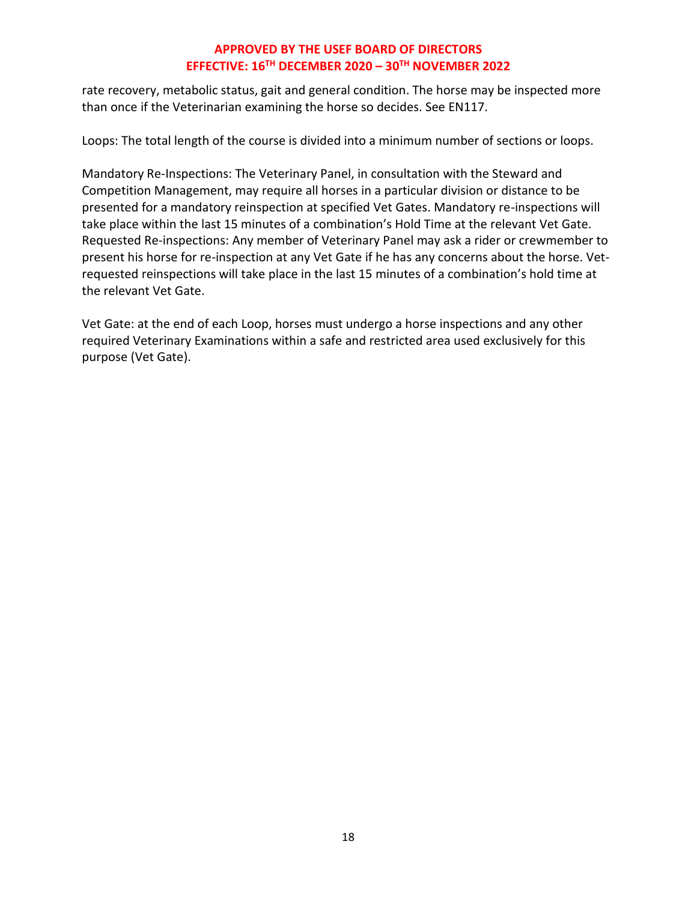rate recovery, metabolic status, gait and general condition. The horse may be inspected more than once if the Veterinarian examining the horse so decides. See EN117.

Loops: The total length of the course is divided into a minimum number of sections or loops.

Mandatory Re-Inspections: The Veterinary Panel, in consultation with the Steward and Competition Management, may require all horses in a particular division or distance to be presented for a mandatory reinspection at specified Vet Gates. Mandatory re-inspections will take place within the last 15 minutes of a combination's Hold Time at the relevant Vet Gate. Requested Re-inspections: Any member of Veterinary Panel may ask a rider or crewmember to present his horse for re-inspection at any Vet Gate if he has any concerns about the horse. Vetrequested reinspections will take place in the last 15 minutes of a combination's hold time at the relevant Vet Gate.

Vet Gate: at the end of each Loop, horses must undergo a horse inspections and any other required Veterinary Examinations within a safe and restricted area used exclusively for this purpose (Vet Gate).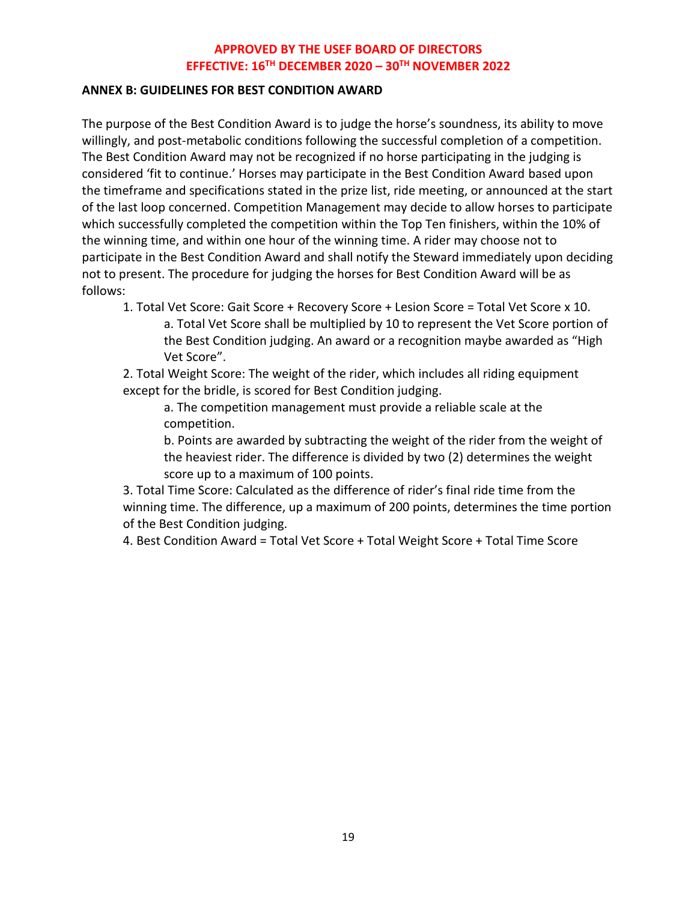#### **ANNEX B: GUIDELINES FOR BEST CONDITION AWARD**

The purpose of the Best Condition Award is to judge the horse's soundness, its ability to move willingly, and post-metabolic conditions following the successful completion of a competition. The Best Condition Award may not be recognized if no horse participating in the judging is considered 'fit to continue.' Horses may participate in the Best Condition Award based upon the timeframe and specifications stated in the prize list, ride meeting, or announced at the start of the last loop concerned. Competition Management may decide to allow horses to participate which successfully completed the competition within the Top Ten finishers, within the 10% of the winning time, and within one hour of the winning time. A rider may choose not to participate in the Best Condition Award and shall notify the Steward immediately upon deciding not to present. The procedure for judging the horses for Best Condition Award will be as follows:

1. Total Vet Score: Gait Score + Recovery Score + Lesion Score = Total Vet Score x 10. a. Total Vet Score shall be multiplied by 10 to represent the Vet Score portion of the Best Condition judging. An award or a recognition maybe awarded as "High Vet Score".

2. Total Weight Score: The weight of the rider, which includes all riding equipment except for the bridle, is scored for Best Condition judging.

a. The competition management must provide a reliable scale at the competition.

b. Points are awarded by subtracting the weight of the rider from the weight of the heaviest rider. The difference is divided by two (2) determines the weight score up to a maximum of 100 points.

3. Total Time Score: Calculated as the difference of rider's final ride time from the winning time. The difference, up a maximum of 200 points, determines the time portion of the Best Condition judging.

4. Best Condition Award = Total Vet Score + Total Weight Score + Total Time Score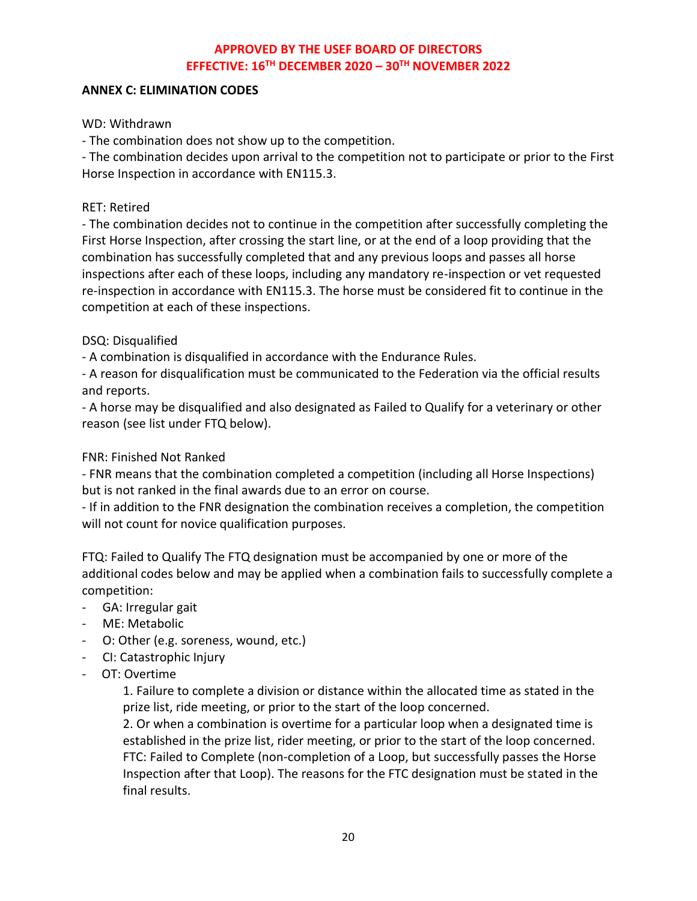#### **ANNEX C: ELIMINATION CODES**

#### WD: Withdrawn

- The combination does not show up to the competition.

- The combination decides upon arrival to the competition not to participate or prior to the First Horse Inspection in accordance with EN115.3.

#### RET: Retired

- The combination decides not to continue in the competition after successfully completing the First Horse Inspection, after crossing the start line, or at the end of a loop providing that the combination has successfully completed that and any previous loops and passes all horse inspections after each of these loops, including any mandatory re-inspection or vet requested re-inspection in accordance with EN115.3. The horse must be considered fit to continue in the competition at each of these inspections.

### DSQ: Disqualified

- A combination is disqualified in accordance with the Endurance Rules.

- A reason for disqualification must be communicated to the Federation via the official results and reports.

- A horse may be disqualified and also designated as Failed to Qualify for a veterinary or other reason (see list under FTQ below).

### FNR: Finished Not Ranked

- FNR means that the combination completed a competition (including all Horse Inspections) but is not ranked in the final awards due to an error on course.

- If in addition to the FNR designation the combination receives a completion, the competition will not count for novice qualification purposes.

FTQ: Failed to Qualify The FTQ designation must be accompanied by one or more of the additional codes below and may be applied when a combination fails to successfully complete a competition:

- GA: Irregular gait
- ME: Metabolic
- O: Other (e.g. soreness, wound, etc.)
- CI: Catastrophic Injury
- OT: Overtime

1. Failure to complete a division or distance within the allocated time as stated in the prize list, ride meeting, or prior to the start of the loop concerned.

2. Or when a combination is overtime for a particular loop when a designated time is established in the prize list, rider meeting, or prior to the start of the loop concerned. FTC: Failed to Complete (non-completion of a Loop, but successfully passes the Horse Inspection after that Loop). The reasons for the FTC designation must be stated in the final results.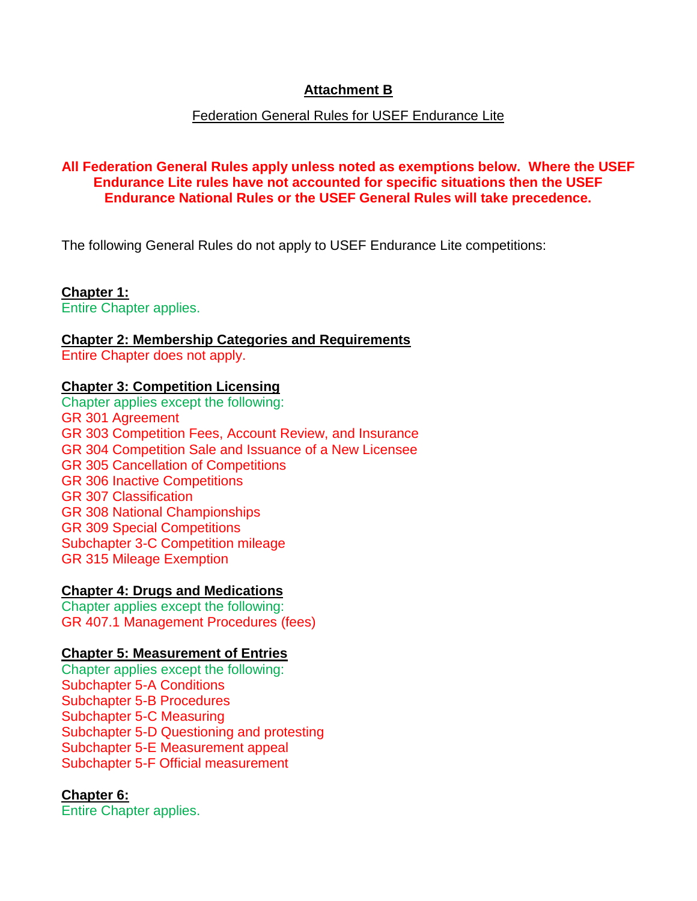# **Attachment B**

### Federation General Rules for USEF Endurance Lite

### **All Federation General Rules apply unless noted as exemptions below. Where the USEF Endurance Lite rules have not accounted for specific situations then the USEF Endurance National Rules or the USEF General Rules will take precedence.**

The following General Rules do not apply to USEF Endurance Lite competitions:

**Chapter 1:**  Entire Chapter applies.

**Chapter 2: Membership Categories and Requirements** Entire Chapter does not apply.

#### **Chapter 3: Competition Licensing**

Chapter applies except the following: GR 301 Agreement GR 303 Competition Fees, Account Review, and Insurance GR 304 Competition Sale and Issuance of a New Licensee GR 305 Cancellation of Competitions GR 306 Inactive Competitions GR 307 Classification GR 308 National Championships GR 309 Special Competitions Subchapter 3-C Competition mileage GR 315 Mileage Exemption

#### **Chapter 4: Drugs and Medications**

Chapter applies except the following: GR 407.1 Management Procedures (fees)

### **Chapter 5: Measurement of Entries**

Chapter applies except the following: Subchapter 5-A Conditions Subchapter 5-B Procedures Subchapter 5-C Measuring Subchapter 5-D Questioning and protesting Subchapter 5-E Measurement appeal Subchapter 5-F Official measurement

### **Chapter 6:**

Entire Chapter applies.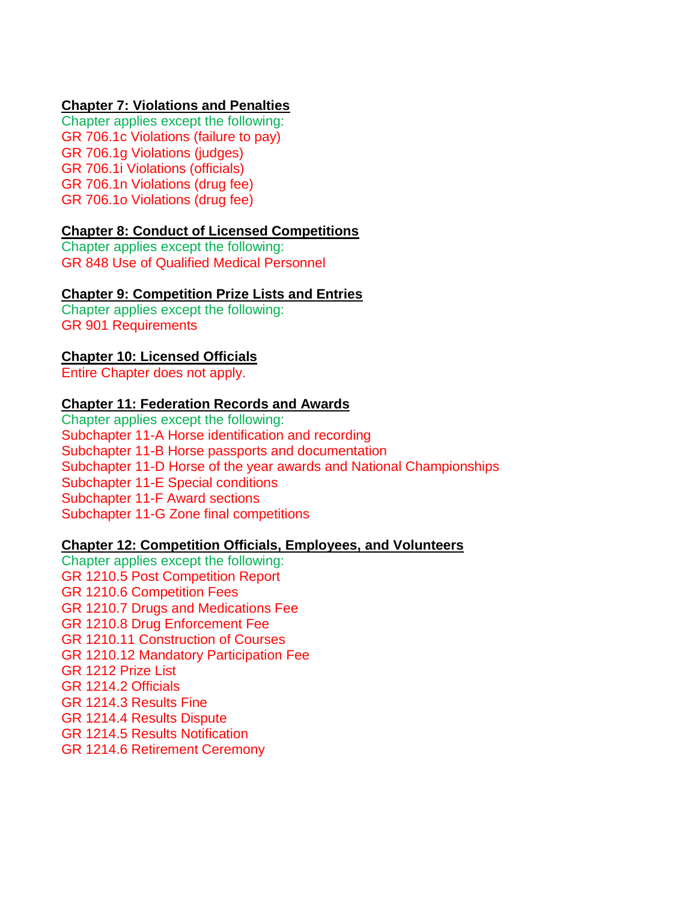### **Chapter 7: Violations and Penalties**

Chapter applies except the following: GR 706.1c Violations (failure to pay) GR 706.1g Violations (judges) GR 706.1i Violations (officials) GR 706.1n Violations (drug fee) GR 706.1o Violations (drug fee)

### **Chapter 8: Conduct of Licensed Competitions**

Chapter applies except the following: GR 848 Use of Qualified Medical Personnel

### **Chapter 9: Competition Prize Lists and Entries**

Chapter applies except the following: GR 901 Requirements

#### **Chapter 10: Licensed Officials**

Entire Chapter does not apply.

#### **Chapter 11: Federation Records and Awards**

Chapter applies except the following: Subchapter 11-A Horse identification and recording Subchapter 11-B Horse passports and documentation Subchapter 11-D Horse of the year awards and National Championships Subchapter 11-E Special conditions Subchapter 11-F Award sections Subchapter 11-G Zone final competitions

#### **Chapter 12: Competition Officials, Employees, and Volunteers**

Chapter applies except the following: GR 1210.5 Post Competition Report GR 1210.6 Competition Fees GR 1210.7 Drugs and Medications Fee GR 1210.8 Drug Enforcement Fee GR 1210.11 Construction of Courses GR 1210.12 Mandatory Participation Fee GR 1212 Prize List GR 1214.2 Officials GR 1214.3 Results Fine GR 1214.4 Results Dispute GR 1214.5 Results Notification GR 1214.6 Retirement Ceremony